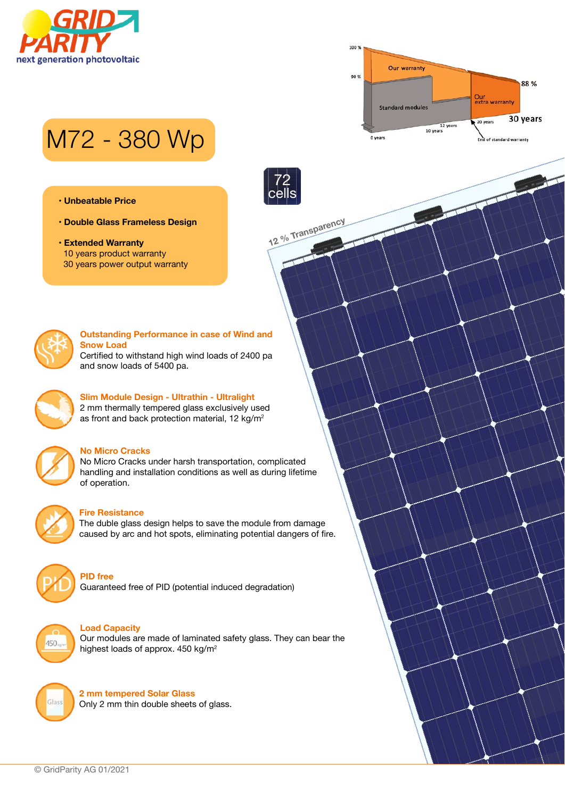



# M72 - 380 Wp

- **Unbeatable Price**
- **Double Glass Frameless Design**
- **Extended Warranty** 10 years product warranty 30 years power output warranty



#### **Outstanding Performance in case of Wind and Snow Load**

**12 % Transparency**

72 cells

Certified to withstand high wind loads of 2400 pa and snow loads of 5400 pa.



# **Slim Module Design - Ultrathin - Ultralight** 2 mm thermally tempered glass exclusively used

as front and back protection material, 12 kg/m<sup>2</sup>



#### **No Micro Cracks**

No Micro Cracks under harsh transportation, complicated handling and installation conditions as well as during lifetime of operation.



# **Fire Resistance**

The duble glass design helps to save the module from damage caused by arc and hot spots, eliminating potential dangers of fire.



#### **PID free**

Guaranteed free of PID (potential induced degradation)



#### **Load Capacity**

Our modules are made of laminated safety glass. They can bear the highest loads of approx. 450 kg/m<sup>2</sup>



**2 mm tempered Solar Glass** Only 2 mm thin double sheets of glass.